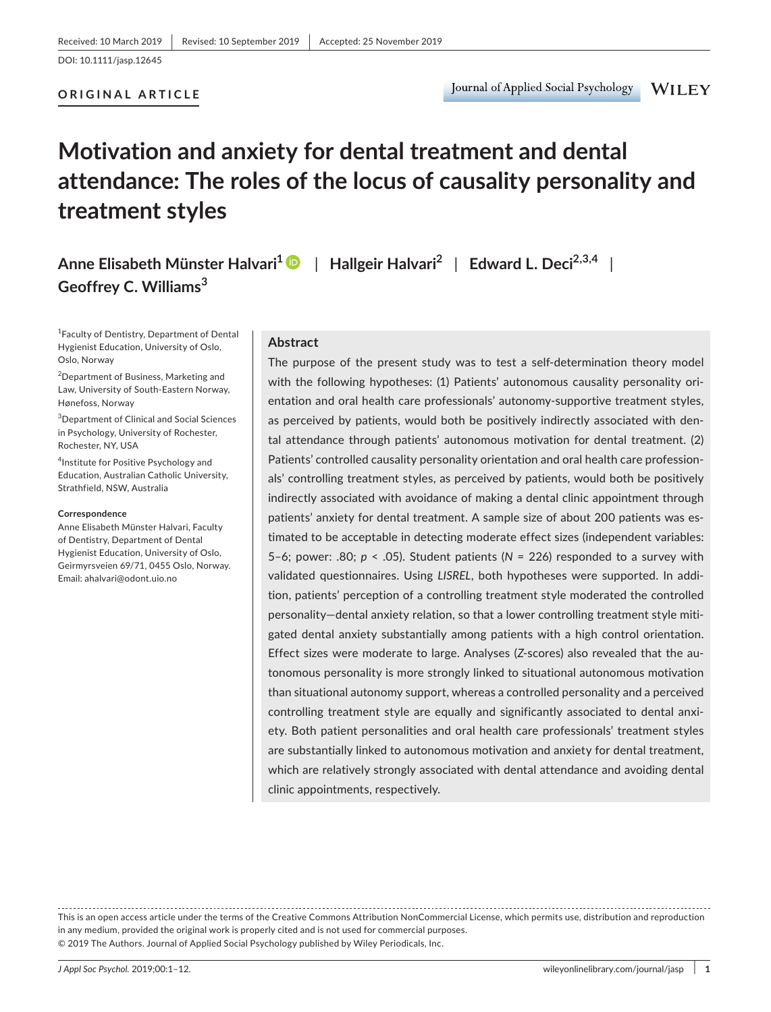#### **ORIGINAL ARTICLE**

# **Motivation and anxiety for dental treatment and dental attendance: The roles of the locus of causality personality and treatment styles**

**Anne Elisabeth Münster Halvari1** | **Hallgeir Halvari<sup>2</sup>** | **Edward L. Deci2,3,4** | **Geoffrey C. Williams<sup>3</sup>**

1 Faculty of Dentistry, Department of Dental Hygienist Education, University of Oslo, Oslo, Norway

2 Department of Business, Marketing and Law, University of South-Eastern Norway, Hønefoss, Norway

3 Department of Clinical and Social Sciences in Psychology, University of Rochester, Rochester, NY, USA

4 Institute for Positive Psychology and Education, Australian Catholic University, Strathfield, NSW, Australia

#### **Correspondence**

Anne Elisabeth Münster Halvari, Faculty of Dentistry, Department of Dental Hygienist Education, University of Oslo, Geirmyrsveien 69/71, 0455 Oslo, Norway. Email: [ahalvari@odont.uio.no](mailto:ahalvari@odont.uio.no)

#### **Abstract**

The purpose of the present study was to test a self-determination theory model with the following hypotheses: (1) Patients' autonomous causality personality orientation and oral health care professionals' autonomy-supportive treatment styles, as perceived by patients, would both be positively indirectly associated with dental attendance through patients' autonomous motivation for dental treatment. (2) Patients' controlled causality personality orientation and oral health care professionals' controlling treatment styles, as perceived by patients, would both be positively indirectly associated with avoidance of making a dental clinic appointment through patients' anxiety for dental treatment. A sample size of about 200 patients was estimated to be acceptable in detecting moderate effect sizes (independent variables: 5–6; power: .80; *p* < .05). Student patients (*N* = 226) responded to a survey with validated questionnaires. Using *LISREL*, both hypotheses were supported. In addition, patients' perception of a controlling treatment style moderated the controlled personality—dental anxiety relation, so that a lower controlling treatment style mitigated dental anxiety substantially among patients with a high control orientation. Effect sizes were moderate to large. Analyses (*Z*-scores) also revealed that the autonomous personality is more strongly linked to situational autonomous motivation than situational autonomy support, whereas a controlled personality and a perceived controlling treatment style are equally and significantly associated to dental anxiety. Both patient personalities and oral health care professionals' treatment styles are substantially linked to autonomous motivation and anxiety for dental treatment, which are relatively strongly associated with dental attendance and avoiding dental clinic appointments, respectively.

This is an open access article under the terms of the [Creative Commons Attribution NonCommercial](http://creativecommons.org/licenses/by-nc/4.0/) License, which permits use, distribution and reproduction in any medium, provided the original work is properly cited and is not used for commercial purposes. © 2019 The Authors. Journal of Applied Social Psychology published by Wiley Periodicals, Inc.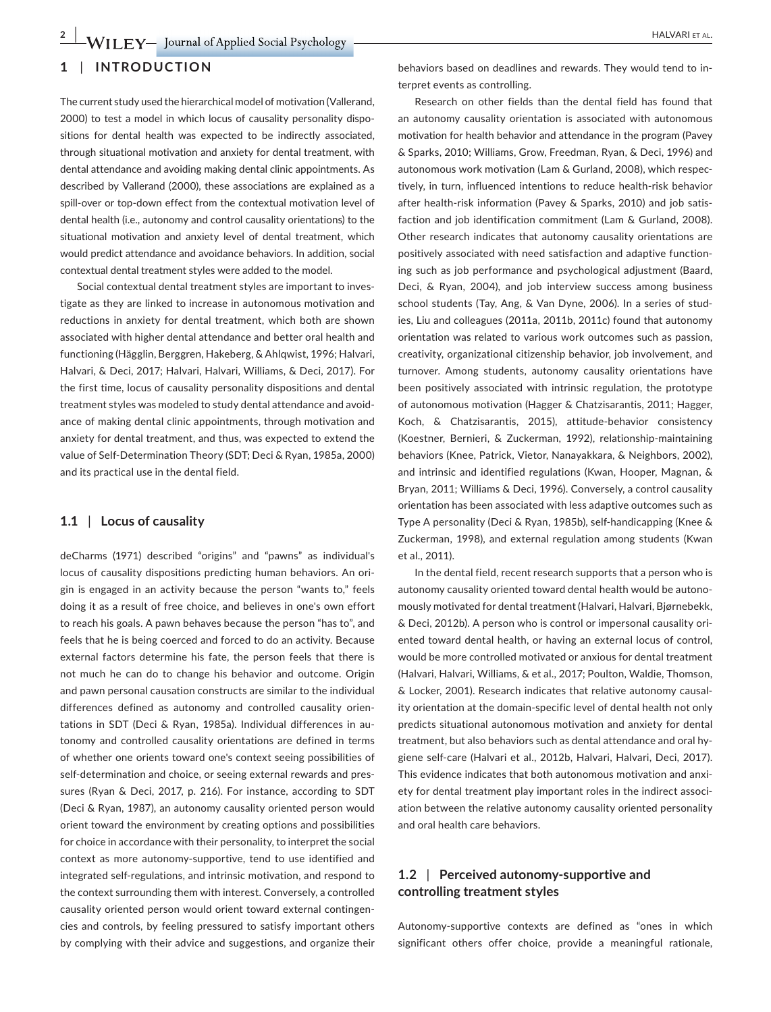## **1** | **INTRODUCTION**

The current study used the hierarchical model of motivation (Vallerand, 2000) to test a model in which locus of causality personality dispositions for dental health was expected to be indirectly associated, through situational motivation and anxiety for dental treatment, with dental attendance and avoiding making dental clinic appointments. As described by Vallerand (2000), these associations are explained as a spill-over or top-down effect from the contextual motivation level of dental health (i.e., autonomy and control causality orientations) to the situational motivation and anxiety level of dental treatment, which would predict attendance and avoidance behaviors. In addition, social contextual dental treatment styles were added to the model.

Social contextual dental treatment styles are important to investigate as they are linked to increase in autonomous motivation and reductions in anxiety for dental treatment, which both are shown associated with higher dental attendance and better oral health and functioning (Hägglin, Berggren, Hakeberg, & Ahlqwist, 1996; Halvari, Halvari, & Deci, 2017; Halvari, Halvari, Williams, & Deci, 2017). For the first time, locus of causality personality dispositions and dental treatment styles was modeled to study dental attendance and avoidance of making dental clinic appointments, through motivation and anxiety for dental treatment, and thus, was expected to extend the value of Self-Determination Theory (SDT; Deci & Ryan, 1985a, 2000) and its practical use in the dental field.

#### **1.1** | **Locus of causality**

deCharms (1971) described "origins" and "pawns" as individual's locus of causality dispositions predicting human behaviors. An origin is engaged in an activity because the person "wants to," feels doing it as a result of free choice, and believes in one's own effort to reach his goals. A pawn behaves because the person "has to", and feels that he is being coerced and forced to do an activity. Because external factors determine his fate, the person feels that there is not much he can do to change his behavior and outcome. Origin and pawn personal causation constructs are similar to the individual differences defined as autonomy and controlled causality orientations in SDT (Deci & Ryan, 1985a). Individual differences in autonomy and controlled causality orientations are defined in terms of whether one orients toward one's context seeing possibilities of self-determination and choice, or seeing external rewards and pressures (Ryan & Deci, 2017, p. 216). For instance, according to SDT (Deci & Ryan, 1987), an autonomy causality oriented person would orient toward the environment by creating options and possibilities for choice in accordance with their personality, to interpret the social context as more autonomy-supportive, tend to use identified and integrated self-regulations, and intrinsic motivation, and respond to the context surrounding them with interest. Conversely, a controlled causality oriented person would orient toward external contingencies and controls, by feeling pressured to satisfy important others by complying with their advice and suggestions, and organize their

behaviors based on deadlines and rewards. They would tend to interpret events as controlling.

Research on other fields than the dental field has found that an autonomy causality orientation is associated with autonomous motivation for health behavior and attendance in the program (Pavey & Sparks, 2010; Williams, Grow, Freedman, Ryan, & Deci, 1996) and autonomous work motivation (Lam & Gurland, 2008), which respectively, in turn, influenced intentions to reduce health-risk behavior after health-risk information (Pavey & Sparks, 2010) and job satisfaction and job identification commitment (Lam & Gurland, 2008). Other research indicates that autonomy causality orientations are positively associated with need satisfaction and adaptive functioning such as job performance and psychological adjustment (Baard, Deci, & Ryan, 2004), and job interview success among business school students (Tay, Ang, & Van Dyne, 2006). In a series of studies, Liu and colleagues (2011a, 2011b, 2011c) found that autonomy orientation was related to various work outcomes such as passion, creativity, organizational citizenship behavior, job involvement, and turnover. Among students, autonomy causality orientations have been positively associated with intrinsic regulation, the prototype of autonomous motivation (Hagger & Chatzisarantis, 2011; Hagger, Koch, & Chatzisarantis, 2015), attitude-behavior consistency (Koestner, Bernieri, & Zuckerman, 1992), relationship-maintaining behaviors (Knee, Patrick, Vietor, Nanayakkara, & Neighbors, 2002), and intrinsic and identified regulations (Kwan, Hooper, Magnan, & Bryan, 2011; Williams & Deci, 1996). Conversely, a control causality orientation has been associated with less adaptive outcomes such as Type A personality (Deci & Ryan, 1985b), self-handicapping (Knee & Zuckerman, 1998), and external regulation among students (Kwan et al., 2011).

In the dental field, recent research supports that a person who is autonomy causality oriented toward dental health would be autonomously motivated for dental treatment (Halvari, Halvari, Bjørnebekk, & Deci, 2012b). A person who is control or impersonal causality oriented toward dental health, or having an external locus of control, would be more controlled motivated or anxious for dental treatment (Halvari, Halvari, Williams, & et al., 2017; Poulton, Waldie, Thomson, & Locker, 2001). Research indicates that relative autonomy causality orientation at the domain-specific level of dental health not only predicts situational autonomous motivation and anxiety for dental treatment, but also behaviors such as dental attendance and oral hygiene self-care (Halvari et al., 2012b, Halvari, Halvari, Deci, 2017). This evidence indicates that both autonomous motivation and anxiety for dental treatment play important roles in the indirect association between the relative autonomy causality oriented personality and oral health care behaviors.

## **1.2** | **Perceived autonomy-supportive and controlling treatment styles**

Autonomy-supportive contexts are defined as "ones in which significant others offer choice, provide a meaningful rationale,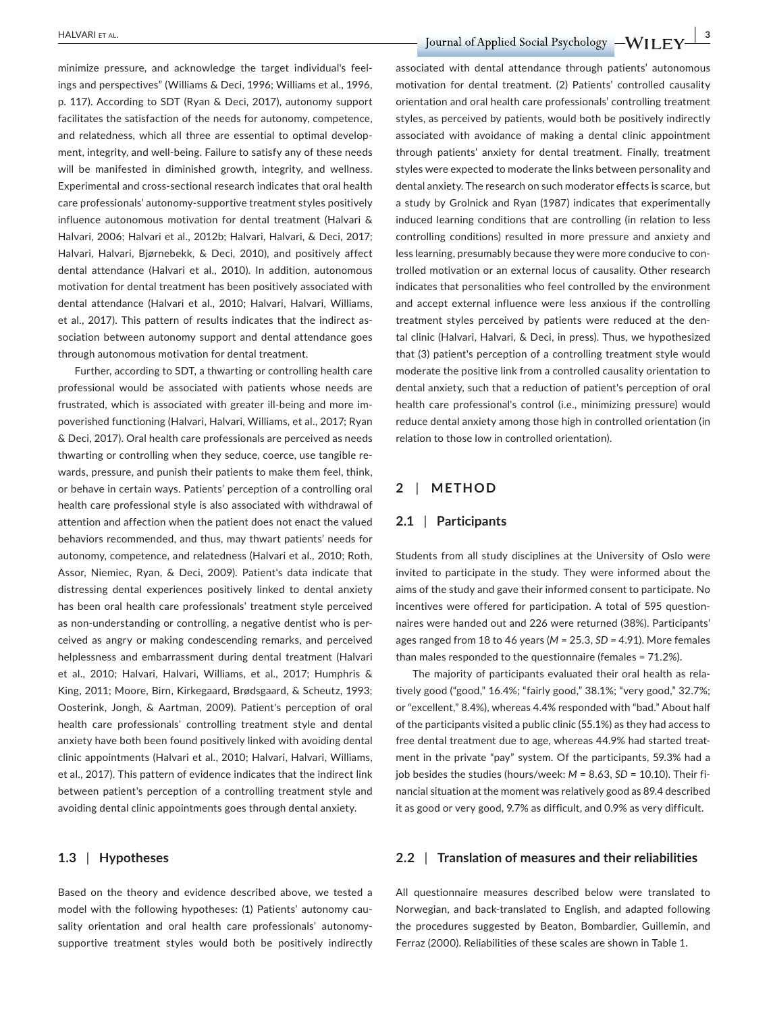minimize pressure, and acknowledge the target individual's feelings and perspectives" (Williams & Deci, 1996; Williams et al., 1996, p. 117). According to SDT (Ryan & Deci, 2017), autonomy support facilitates the satisfaction of the needs for autonomy, competence, and relatedness, which all three are essential to optimal development, integrity, and well-being. Failure to satisfy any of these needs will be manifested in diminished growth, integrity, and wellness. Experimental and cross-sectional research indicates that oral health care professionals' autonomy-supportive treatment styles positively influence autonomous motivation for dental treatment (Halvari & Halvari, 2006; Halvari et al., 2012b; Halvari, Halvari, & Deci, 2017; Halvari, Halvari, Bjørnebekk, & Deci, 2010), and positively affect dental attendance (Halvari et al., 2010). In addition, autonomous motivation for dental treatment has been positively associated with dental attendance (Halvari et al., 2010; Halvari, Halvari, Williams, et al., 2017). This pattern of results indicates that the indirect association between autonomy support and dental attendance goes through autonomous motivation for dental treatment.

Further, according to SDT, a thwarting or controlling health care professional would be associated with patients whose needs are frustrated, which is associated with greater ill-being and more impoverished functioning (Halvari, Halvari, Williams, et al., 2017; Ryan & Deci, 2017). Oral health care professionals are perceived as needs thwarting or controlling when they seduce, coerce, use tangible rewards, pressure, and punish their patients to make them feel, think, or behave in certain ways. Patients' perception of a controlling oral health care professional style is also associated with withdrawal of attention and affection when the patient does not enact the valued behaviors recommended, and thus, may thwart patients' needs for autonomy, competence, and relatedness (Halvari et al., 2010; Roth, Assor, Niemiec, Ryan, & Deci, 2009). Patient's data indicate that distressing dental experiences positively linked to dental anxiety has been oral health care professionals' treatment style perceived as non-understanding or controlling, a negative dentist who is perceived as angry or making condescending remarks, and perceived helplessness and embarrassment during dental treatment (Halvari et al., 2010; Halvari, Halvari, Williams, et al., 2017; Humphris & King, 2011; Moore, Birn, Kirkegaard, Brødsgaard, & Scheutz, 1993; Oosterink, Jongh, & Aartman, 2009). Patient's perception of oral health care professionals' controlling treatment style and dental anxiety have both been found positively linked with avoiding dental clinic appointments (Halvari et al., 2010; Halvari, Halvari, Williams, et al., 2017). This pattern of evidence indicates that the indirect link between patient's perception of a controlling treatment style and avoiding dental clinic appointments goes through dental anxiety.

#### **1.3** | **Hypotheses**

Based on the theory and evidence described above, we tested a model with the following hypotheses: (1) Patients' autonomy causality orientation and oral health care professionals' autonomysupportive treatment styles would both be positively indirectly

 **|** HALVARI et al. **3**

associated with dental attendance through patients' autonomous motivation for dental treatment. (2) Patients' controlled causality orientation and oral health care professionals' controlling treatment styles, as perceived by patients, would both be positively indirectly associated with avoidance of making a dental clinic appointment through patients' anxiety for dental treatment. Finally, treatment styles were expected to moderate the links between personality and dental anxiety. The research on such moderator effects is scarce, but a study by Grolnick and Ryan (1987) indicates that experimentally induced learning conditions that are controlling (in relation to less controlling conditions) resulted in more pressure and anxiety and less learning, presumably because they were more conducive to controlled motivation or an external locus of causality. Other research indicates that personalities who feel controlled by the environment and accept external influence were less anxious if the controlling treatment styles perceived by patients were reduced at the dental clinic (Halvari, Halvari, & Deci, in press). Thus, we hypothesized that (3) patient's perception of a controlling treatment style would moderate the positive link from a controlled causality orientation to dental anxiety, such that a reduction of patient's perception of oral health care professional's control (i.e., minimizing pressure) would reduce dental anxiety among those high in controlled orientation (in relation to those low in controlled orientation).

#### **2** | **METHOD**

#### **2.1** | **Participants**

Students from all study disciplines at the University of Oslo were invited to participate in the study. They were informed about the aims of the study and gave their informed consent to participate. No incentives were offered for participation. A total of 595 questionnaires were handed out and 226 were returned (38%). Participants' ages ranged from 18 to 46 years (*M* = 25.3, *SD =* 4.91). More females than males responded to the questionnaire (females = 71.2%).

The majority of participants evaluated their oral health as relatively good ("good," 16.4%; "fairly good," 38.1%; "very good," 32.7%; or "excellent," 8.4%), whereas 4.4% responded with "bad." About half of the participants visited a public clinic (55.1%) as they had access to free dental treatment due to age, whereas 44.9% had started treatment in the private "pay" system. Of the participants, 59.3% had a job besides the studies (hours/week: *M* = 8.63, *SD* = 10.10). Their financial situation at the moment was relatively good as 89.4 described it as good or very good, 9.7% as difficult, and 0.9% as very difficult.

#### **2.2** | **Translation of measures and their reliabilities**

All questionnaire measures described below were translated to Norwegian, and back-translated to English, and adapted following the procedures suggested by Beaton, Bombardier, Guillemin, and Ferraz (2000). Reliabilities of these scales are shown in Table 1.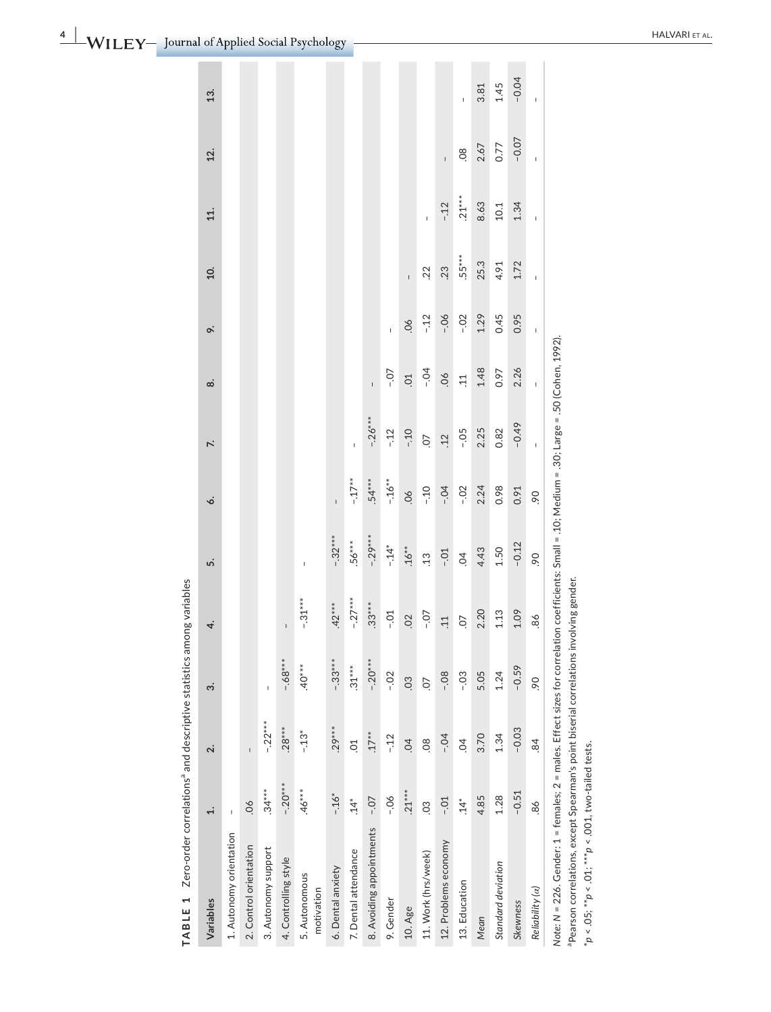| <b>I A BLE 1 4 DES SONS ANDES SONS ANDER SONS AND SONS AND A LA BLE 1 4 DES SONS ANDERS</b>                                                                                                                                    |                      |                    |                |                 |                |              |                                       |                                                                                                                                                                                                                                                                                                                                                                                                                |                     |           |                   |                |              |
|--------------------------------------------------------------------------------------------------------------------------------------------------------------------------------------------------------------------------------|----------------------|--------------------|----------------|-----------------|----------------|--------------|---------------------------------------|----------------------------------------------------------------------------------------------------------------------------------------------------------------------------------------------------------------------------------------------------------------------------------------------------------------------------------------------------------------------------------------------------------------|---------------------|-----------|-------------------|----------------|--------------|
| Variables                                                                                                                                                                                                                      | $\ddot{ }$           | $\dot{\mathbf{r}}$ | ကဲ             | 4.              | ທ່             | ó.           | $\ddot{\sim}$                         | ထဲ                                                                                                                                                                                                                                                                                                                                                                                                             | o.                  | 10.       | $\overline{11}$ . | 12.            | 13.          |
| 1. Autonomy orientation                                                                                                                                                                                                        | $\mathbf{I}$         |                    |                |                 |                |              |                                       |                                                                                                                                                                                                                                                                                                                                                                                                                |                     |           |                   |                |              |
| 2. Control orientation                                                                                                                                                                                                         | 60                   | $\mathbf{I}$       |                |                 |                |              |                                       |                                                                                                                                                                                                                                                                                                                                                                                                                |                     |           |                   |                |              |
| 3. Autonomy support                                                                                                                                                                                                            | $.34***$             | $-.22***$          | $\sf I$        |                 |                |              |                                       |                                                                                                                                                                                                                                                                                                                                                                                                                |                     |           |                   |                |              |
| 4. Controlling style                                                                                                                                                                                                           | $-0.20$ ***          | $.28***$           | $-.68***$      | $\mathbf{I}$    |                |              |                                       |                                                                                                                                                                                                                                                                                                                                                                                                                |                     |           |                   |                |              |
| 5. Autonomous<br>motivation                                                                                                                                                                                                    | $.46***$             | $-13*$             | $40**$         | $-.31***$       | $\mathbf{I}$   |              |                                       |                                                                                                                                                                                                                                                                                                                                                                                                                |                     |           |                   |                |              |
| 6. Dental anxiety                                                                                                                                                                                                              | $-16*$               | $.29***$           | $-0.33***$     | $.42***$        | $-.32***$      | $\mathbf{I}$ |                                       |                                                                                                                                                                                                                                                                                                                                                                                                                |                     |           |                   |                |              |
| 7. Dental attendance                                                                                                                                                                                                           | $\stackrel{*}{\neq}$ | $\overline{C}$     | $.31***$       | $-.27***$       | $.56***$       | $-.17**$     | ī                                     |                                                                                                                                                                                                                                                                                                                                                                                                                |                     |           |                   |                |              |
| 8. Avoiding appointments                                                                                                                                                                                                       | $-0.7$               | $.17**$            | $-.20***$      | $.33***$        | $-0.29***$     | $.54***$     | $-.26***$                             |                                                                                                                                                                                                                                                                                                                                                                                                                |                     |           |                   |                |              |
| 9. Gender                                                                                                                                                                                                                      | $-0.06$              | $-12$              | $-0.02$        | $-0.01$         | $-14*$         | $-16**$      | $-12$                                 | $-0.7$                                                                                                                                                                                                                                                                                                                                                                                                         | $\mathbf{I}$        |           |                   |                |              |
| 10. Age                                                                                                                                                                                                                        | $.21***$             | $\overline{6}$     | $\overline{0}$ | $\overline{0}$  | $.16**$        | 60           | $-10$                                 | $\overline{C}$                                                                                                                                                                                                                                                                                                                                                                                                 | 60                  |           |                   |                |              |
| 11. Work (hrs/week)                                                                                                                                                                                                            | $\overline{0}$       | $\frac{8}{2}$      | $\overline{C}$ | $-0.7$          | .13            | $-10$        | 07                                    | $-0.4$                                                                                                                                                                                                                                                                                                                                                                                                         | $-12$               | .22       |                   |                |              |
| 12. Problems economy                                                                                                                                                                                                           | $-0.01$              | $-0.4$             | $-0.8$         | $\overline{11}$ | $-0.01$        | $-0.4$       | .12                                   | $60$ .                                                                                                                                                                                                                                                                                                                                                                                                         | $-06$               | .23       | $-12$             | $\overline{1}$ |              |
| 13. Education                                                                                                                                                                                                                  | $\ddot{4}$           | $\overline{6}$     | $-0.03$        | $\overline{C}$  | $\overline{6}$ | $-0.02$      | $-0.5$                                | $\overline{11}$                                                                                                                                                                                                                                                                                                                                                                                                | $-0.02$             | $.55***$  | $.21***$          | 08             | Ï            |
| Mean                                                                                                                                                                                                                           | 4.85                 | 3.70               | 5.05           | 2.20            | 4.43           | 2.24         | 2.25                                  | 1.48                                                                                                                                                                                                                                                                                                                                                                                                           | 1.29                | 25.3      | 8.63              | 2.67           | 3.81         |
| Standard deviation                                                                                                                                                                                                             | 1.28                 | 1.34               | 1.24           | $1.13$          | 1.50           | 0.98         | 0.82                                  | 0.97                                                                                                                                                                                                                                                                                                                                                                                                           | 0.45                | 4.91      | 10.1              | 0.77           | 1.45         |
| Skewness                                                                                                                                                                                                                       | $-0.51$              | $-0.03$            | $-0.59$        | 1.09            | $-0.12$        | 0.91         | $-0.49$                               | 2.26                                                                                                                                                                                                                                                                                                                                                                                                           | 0.95                | 1.72      | 1.34              | $-0.07$        | $-0.04$      |
| Reliability $(\alpha)$                                                                                                                                                                                                         | 86.                  | 84                 | 90             | .86             | 90             | 90           | $\begin{array}{c} \hline \end{array}$ | $\begin{array}{c} \rule{0pt}{2ex} \rule{0pt}{2ex} \rule{0pt}{2ex} \rule{0pt}{2ex} \rule{0pt}{2ex} \rule{0pt}{2ex} \rule{0pt}{2ex} \rule{0pt}{2ex} \rule{0pt}{2ex} \rule{0pt}{2ex} \rule{0pt}{2ex} \rule{0pt}{2ex} \rule{0pt}{2ex} \rule{0pt}{2ex} \rule{0pt}{2ex} \rule{0pt}{2ex} \rule{0pt}{2ex} \rule{0pt}{2ex} \rule{0pt}{2ex} \rule{0pt}{2ex} \rule{0pt}{2ex} \rule{0pt}{2ex} \rule{0pt}{2ex} \rule{0pt}{$ | $\bar{\phantom{a}}$ | $\bar{1}$ | $\overline{1}$    | $\bar{1}$      | $\mathbf{I}$ |
| with a company of the state of the state of the state of the state with a state of the state of the state of the state of the state of the state of the state of the state of the state of the state of the state of the state |                      |                    |                |                 |                |              | -<br>-<br>-<br>-<br>-                 | FOICAL ADDON                                                                                                                                                                                                                                                                                                                                                                                                   |                     |           |                   |                |              |

variables **TABLE 1** Zero-order correlations<sup>a</sup> and descriptive statistics among variables  $\frac{1}{2}$ rrelatione<sup>8</sup> and descriptive statistics  $\frac{3}{6}$  $\vec{c}$  $7<sub>en</sub>$ TABLE 1 Note: N = 226. Gender: 1 = females; 2 = males. Effect sizes for correlation coefficients: Small = .10; Medium = .30; Large = .50 (Cohen, 1992). *Note: N* = 226. Gender: 1 = females; 2 = males. Effect sizes for correlation coefficients: Small = .10; Medium = .30; Large = .50 (Cohen, 1992). <sup>a</sup>Pearson correlations, except Spearman's point biserial correlations involving gender.

aPearson correlations, except Spearman's point biserial correlations involving gender.

 $*_{p}$  < .05;  $*_{p}$  < .01;  $*_{p}$  < .001, two-tailed tests. \**p* < .05; \*\**p* < .01; \*\*\**p* < .001, two-tailed tests.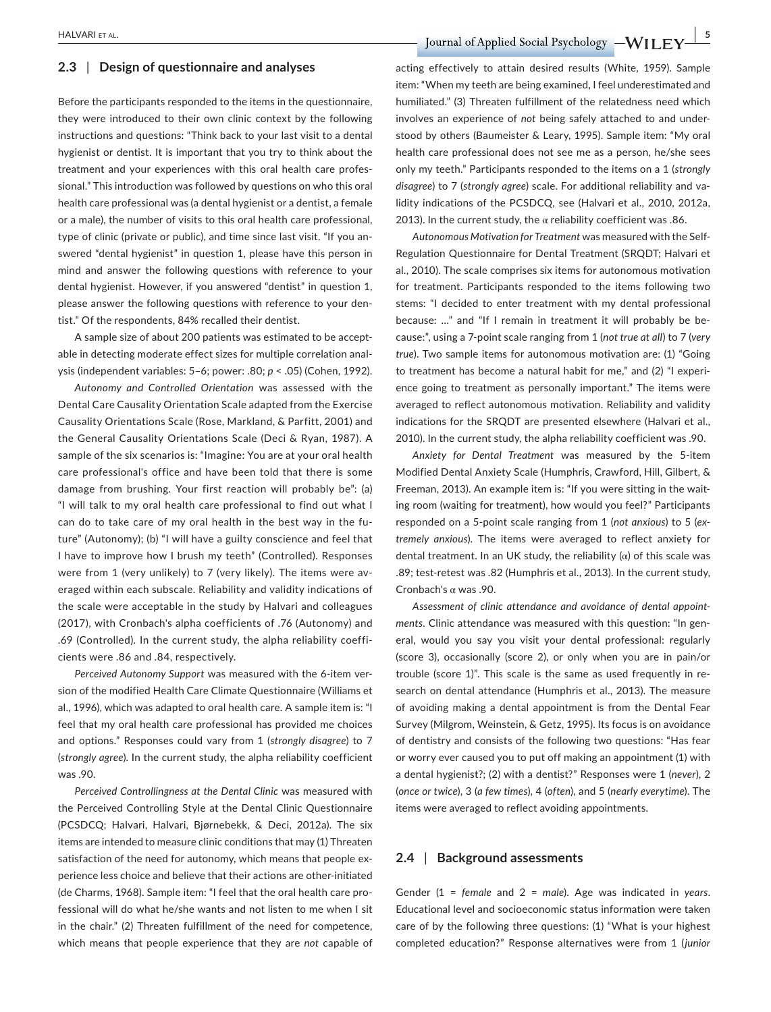#### **2.3** | **Design of questionnaire and analyses**

Before the participants responded to the items in the questionnaire, they were introduced to their own clinic context by the following instructions and questions: "Think back to your last visit to a dental hygienist or dentist. It is important that you try to think about the treatment and your experiences with this oral health care professional." This introduction was followed by questions on who this oral health care professional was (a dental hygienist or a dentist, a female or a male), the number of visits to this oral health care professional, type of clinic (private or public), and time since last visit. "If you answered "dental hygienist" in question 1, please have this person in mind and answer the following questions with reference to your dental hygienist. However, if you answered "dentist" in question 1, please answer the following questions with reference to your dentist." Of the respondents, 84% recalled their dentist.

A sample size of about 200 patients was estimated to be acceptable in detecting moderate effect sizes for multiple correlation analysis (independent variables: 5–6; power: .80; *p* < .05) (Cohen, 1992).

*Autonomy and Controlled Orientation* was assessed with the Dental Care Causality Orientation Scale adapted from the Exercise Causality Orientations Scale (Rose, Markland, & Parfitt, 2001) and the General Causality Orientations Scale (Deci & Ryan, 1987). A sample of the six scenarios is: "Imagine: You are at your oral health care professional's office and have been told that there is some damage from brushing. Your first reaction will probably be": (a) "I will talk to my oral health care professional to find out what I can do to take care of my oral health in the best way in the future" (Autonomy); (b) "I will have a guilty conscience and feel that I have to improve how I brush my teeth" (Controlled). Responses were from 1 (very unlikely) to 7 (very likely). The items were averaged within each subscale. Reliability and validity indications of the scale were acceptable in the study by Halvari and colleagues (2017), with Cronbach's alpha coefficients of .76 (Autonomy) and .69 (Controlled). In the current study, the alpha reliability coefficients were .86 and .84, respectively.

*Perceived Autonomy Support* was measured with the 6-item version of the modified Health Care Climate Questionnaire (Williams et al., 1996), which was adapted to oral health care. A sample item is: "I feel that my oral health care professional has provided me choices and options." Responses could vary from 1 (*strongly disagree*) to 7 (*strongly agree*). In the current study, the alpha reliability coefficient was .90.

*Perceived Controllingness at the Dental Clinic* was measured with the Perceived Controlling Style at the Dental Clinic Questionnaire (PCSDCQ; Halvari, Halvari, Bjørnebekk, & Deci, 2012a). The six items are intended to measure clinic conditions that may (1) Threaten satisfaction of the need for autonomy, which means that people experience less choice and believe that their actions are other-initiated (de Charms, 1968). Sample item: "I feel that the oral health care professional will do what he/she wants and not listen to me when I sit in the chair." (2) Threaten fulfillment of the need for competence, which means that people experience that they are *not* capable of

 $\frac{HALVARI ET AL}{IEN}$   $\frac{HALVARI ET AL}{IEN}$ 

acting effectively to attain desired results (White, 1959). Sample item: "When my teeth are being examined, I feel underestimated and humiliated." (3) Threaten fulfillment of the relatedness need which involves an experience of *not* being safely attached to and understood by others (Baumeister & Leary, 1995). Sample item: "My oral health care professional does not see me as a person, he/she sees only my teeth." Participants responded to the items on a 1 (*strongly disagree*) to 7 (*strongly agree*) scale. For additional reliability and validity indications of the PCSDCQ, see (Halvari et al., 2010, 2012a, 2013). In the current study, the  $\alpha$  reliability coefficient was .86.

*Autonomous Motivation for Treatment* was measured with the Self-Regulation Questionnaire for Dental Treatment (SRQDT; Halvari et al., 2010). The scale comprises six items for autonomous motivation for treatment. Participants responded to the items following two stems: "I decided to enter treatment with my dental professional because: …" and "If I remain in treatment it will probably be because:", using a 7-point scale ranging from 1 (*not true at all*) to 7 (*very true*). Two sample items for autonomous motivation are: (1) "Going to treatment has become a natural habit for me," and (2) "I experience going to treatment as personally important." The items were averaged to reflect autonomous motivation. Reliability and validity indications for the SRQDT are presented elsewhere (Halvari et al., 2010). In the current study, the alpha reliability coefficient was .90.

*Anxiety for Dental Treatment* was measured by the 5-item Modified Dental Anxiety Scale (Humphris, Crawford, Hill, Gilbert, & Freeman, 2013). An example item is: "If you were sitting in the waiting room (waiting for treatment), how would you feel?" Participants responded on a 5-point scale ranging from 1 (*not anxious*) to 5 (*extremely anxious*). The items were averaged to reflect anxiety for dental treatment. In an UK study, the reliability (α) of this scale was .89; test-retest was .82 (Humphris et al., 2013). In the current study, Cronbach's α was .90.

*Assessment of clinic attendance and avoidance of dental appointments.* Clinic attendance was measured with this question: "In general, would you say you visit your dental professional: regularly (score 3), occasionally (score 2), or only when you are in pain/or trouble (score 1)". This scale is the same as used frequently in research on dental attendance (Humphris et al., 2013). The measure of avoiding making a dental appointment is from the Dental Fear Survey (Milgrom, Weinstein, & Getz, 1995). Its focus is on avoidance of dentistry and consists of the following two questions: "Has fear or worry ever caused you to put off making an appointment (1) with a dental hygienist?; (2) with a dentist?" Responses were 1 (*never*), 2 (*once or twice*), 3 (*a few times*), 4 (*often*), and 5 (*nearly everytime*). The items were averaged to reflect avoiding appointments.

#### **2.4** | **Background assessments**

Gender (1 = *female* and 2 = *male*). Age was indicated in *years*. Educational level and socioeconomic status information were taken care of by the following three questions: (1) "What is your highest completed education?" Response alternatives were from 1 (*junior*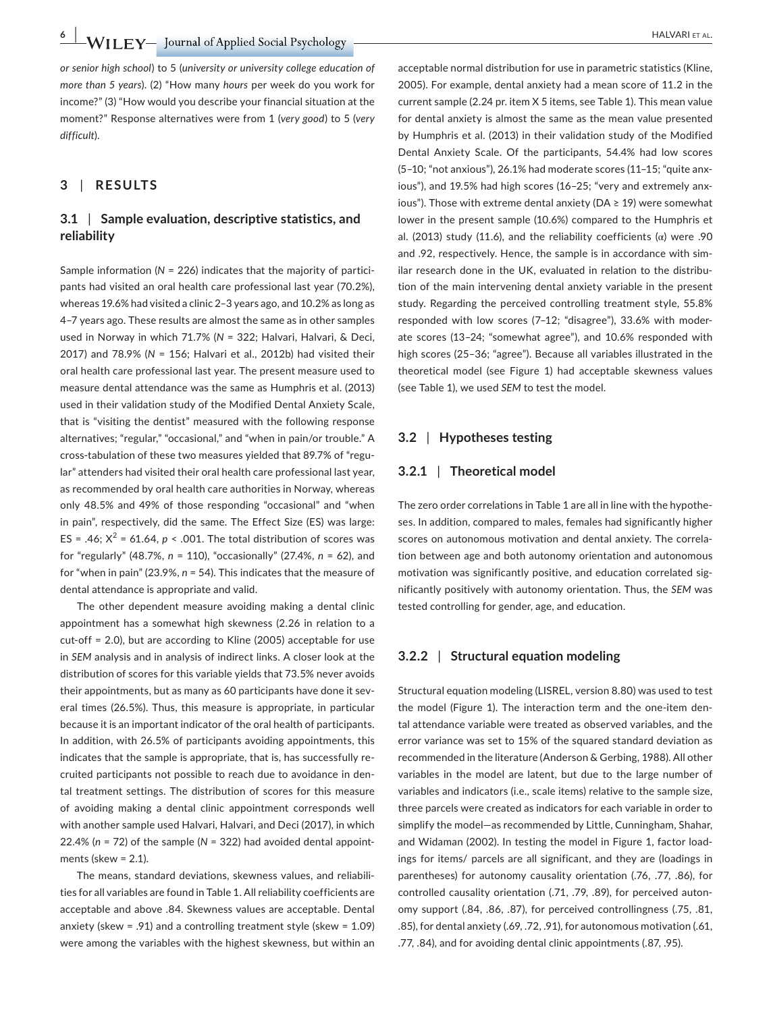*or senior high school*) to 5 (*university or university college education of more than 5 years*). (2) "How many *hours* per week do you work for income?" (3) "How would you describe your financial situation at the moment?" Response alternatives were from 1 (*very good*) to 5 (*very difficult*).

#### **3** | **RESULTS**

## **3.1** | **Sample evaluation, descriptive statistics, and reliability**

Sample information (*N* = 226) indicates that the majority of participants had visited an oral health care professional last year (70.2%), whereas 19.6% had visited a clinic 2–3 years ago, and 10.2% as long as 4–7 years ago. These results are almost the same as in other samples used in Norway in which 71.7% (N = 322; Halvari, Halvari, & Deci, 2017) and 78.9% (*N* = 156; Halvari et al., 2012b) had visited their oral health care professional last year. The present measure used to measure dental attendance was the same as Humphris et al. (2013) used in their validation study of the Modified Dental Anxiety Scale, that is "visiting the dentist" measured with the following response alternatives; "regular," "occasional," and "when in pain/or trouble." A cross-tabulation of these two measures yielded that 89.7% of "regular" attenders had visited their oral health care professional last year, as recommended by oral health care authorities in Norway, whereas only 48.5% and 49% of those responding "occasional" and "when in pain", respectively, did the same. The Effect Size (ES) was large: ES = .46;  $X^2$  = 61.64,  $p < .001$ . The total distribution of scores was for "regularly" (48.7%, *n* = 110), "occasionally" (27.4%, *n* = 62), and for "when in pain" (23.9%, *n* = 54). This indicates that the measure of dental attendance is appropriate and valid.

The other dependent measure avoiding making a dental clinic appointment has a somewhat high skewness (2.26 in relation to a cut-off = 2.0), but are according to Kline (2005) acceptable for use in *SEM* analysis and in analysis of indirect links. A closer look at the distribution of scores for this variable yields that 73.5% never avoids their appointments, but as many as 60 participants have done it several times (26.5%). Thus, this measure is appropriate, in particular because it is an important indicator of the oral health of participants. In addition, with 26.5% of participants avoiding appointments, this indicates that the sample is appropriate, that is, has successfully recruited participants not possible to reach due to avoidance in dental treatment settings. The distribution of scores for this measure of avoiding making a dental clinic appointment corresponds well with another sample used Halvari, Halvari, and Deci (2017), in which 22.4% (*n* = 72) of the sample (*N* = 322) had avoided dental appointments (skew  $= 2.1$ ).

The means, standard deviations, skewness values, and reliabilities for all variables are found in Table 1. All reliability coefficients are acceptable and above .84. Skewness values are acceptable. Dental anxiety (skew = .91) and a controlling treatment style (skew = 1.09) were among the variables with the highest skewness, but within an

acceptable normal distribution for use in parametric statistics (Kline, 2005). For example, dental anxiety had a mean score of 11.2 in the current sample (2.24 pr. item X 5 items, see Table 1). This mean value for dental anxiety is almost the same as the mean value presented by Humphris et al. (2013) in their validation study of the Modified Dental Anxiety Scale. Of the participants, 54.4% had low scores (5–10; "not anxious"), 26.1% had moderate scores (11–15; "quite anxious"), and 19.5% had high scores (16–25; "very and extremely anxious"). Those with extreme dental anxiety (DA ≥ 19) were somewhat lower in the present sample (10.6%) compared to the Humphris et al. (2013) study (11.6), and the reliability coefficients (α) were .90 and .92, respectively. Hence, the sample is in accordance with similar research done in the UK, evaluated in relation to the distribution of the main intervening dental anxiety variable in the present study. Regarding the perceived controlling treatment style, 55.8% responded with low scores (7–12; "disagree"), 33.6% with moderate scores (13–24; "somewhat agree"), and 10.6% responded with high scores (25–36; "agree"). Because all variables illustrated in the theoretical model (see Figure 1) had acceptable skewness values (see Table 1), we used *SEM* to test the model.

#### **3.2** | **Hypotheses testing**

#### **3.2.1** | **Theoretical model**

The zero order correlations in Table 1 are all in line with the hypotheses. In addition, compared to males, females had significantly higher scores on autonomous motivation and dental anxiety. The correlation between age and both autonomy orientation and autonomous motivation was significantly positive, and education correlated significantly positively with autonomy orientation. Thus, the *SEM* was tested controlling for gender, age, and education.

#### **3.2.2** | **Structural equation modeling**

Structural equation modeling (LISREL, version 8.80) was used to test the model (Figure 1). The interaction term and the one-item dental attendance variable were treated as observed variables, and the error variance was set to 15% of the squared standard deviation as recommended in the literature (Anderson & Gerbing, 1988). All other variables in the model are latent, but due to the large number of variables and indicators (i.e., scale items) relative to the sample size, three parcels were created as indicators for each variable in order to simplify the model—as recommended by Little, Cunningham, Shahar, and Widaman (2002). In testing the model in Figure 1, factor loadings for items/ parcels are all significant, and they are (loadings in parentheses) for autonomy causality orientation (.76, .77, .86), for controlled causality orientation (.71, .79, .89), for perceived autonomy support (.84, .86, .87), for perceived controllingness (.75, .81, .85), for dental anxiety (.69, .72, .91), for autonomous motivation (.61, .77, .84), and for avoiding dental clinic appointments (.87, .95).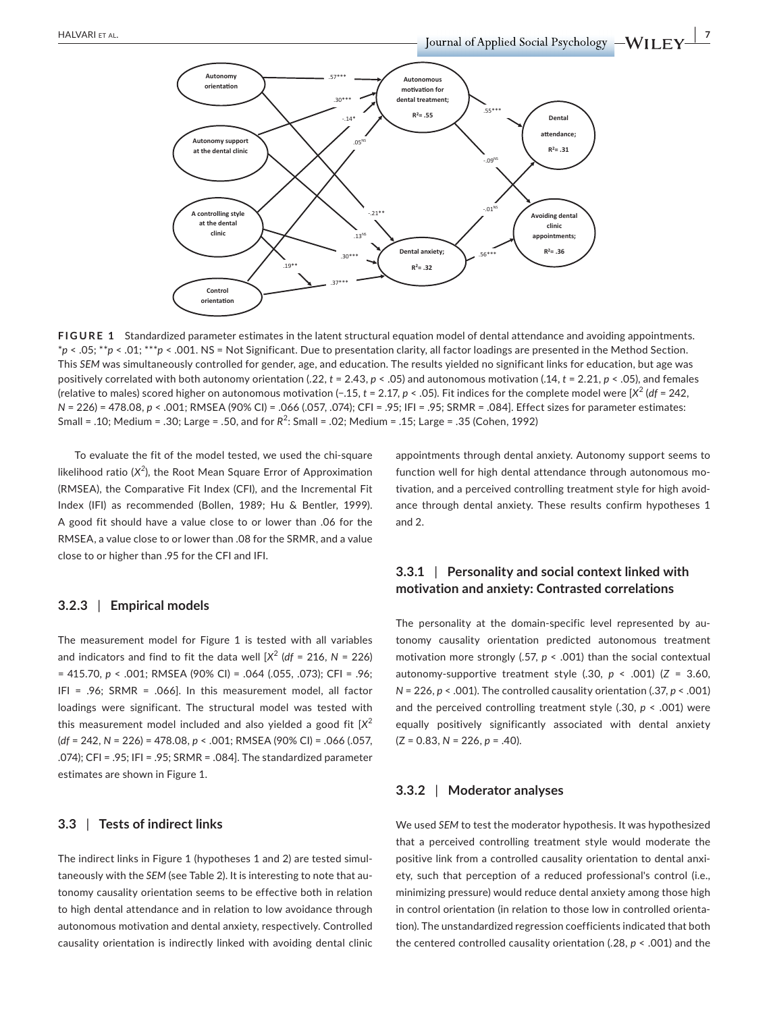

**FIGURE 1** Standardized parameter estimates in the latent structural equation model of dental attendance and avoiding appointments. \**p* < .05; \*\**p* < .01; \*\*\**p* < .001. NS = Not Significant. Due to presentation clarity, all factor loadings are presented in the Method Section. This *SEM* was simultaneously controlled for gender, age, and education. The results yielded no significant links for education, but age was positively correlated with both autonomy orientation (.22, *t* = 2.43, *p* < .05) and autonomous motivation (.14, *t* = 2.21, *p* < .05), and females (relative to males) scored higher on autonomous motivation (−.15, *t* = 2.17, *p* < .05). Fit indices for the complete model were [*X*<sup>2</sup> (*df* = 242, *N* = 226) = 478.08, *p* < .001; RMSEA (90% CI) = .066 (.057, .074); CFI = .95; IFI = .95; SRMR = .084]. Effect sizes for parameter estimates: Small = .10; Medium = .30; Large = .50, and for *R*<sup>2</sup> : Small = .02; Medium = .15; Large = .35 (Cohen, 1992)

To evaluate the fit of the model tested, we used the chi-square likelihood ratio (*X<sup>2</sup>* ), the Root Mean Square Error of Approximation (RMSEA), the Comparative Fit Index (CFI), and the Incremental Fit Index (IFI) as recommended (Bollen, 1989; Hu & Bentler, 1999). A good fit should have a value close to or lower than .06 for the RMSEA, a value close to or lower than .08 for the SRMR, and a value close to or higher than .95 for the CFI and IFI.

#### **3.2.3** | **Empirical models**

The measurement model for Figure 1 is tested with all variables and indicators and find to fit the data well  $[X^2 \text{ (df = 216, N = 226)}$ = 415.70, *p* < .001; RMSEA (90% CI) = .064 (.055, .073); CFI = .96; IFI = .96; SRMR = .066]. In this measurement model, all factor loadings were significant. The structural model was tested with this measurement model included and also yielded a good fit [*X*<sup>2</sup> (*df* = 242, *N* = 226) = 478.08, *p* < .001; RMSEA (90% CI) = .066 (.057, .074); CFI = .95; IFI = .95; SRMR = .084]. The standardized parameter estimates are shown in Figure 1.

## **3.3** | **Tests of indirect links**

The indirect links in Figure 1 (hypotheses 1 and 2) are tested simultaneously with the *SEM* (see Table 2). It is interesting to note that autonomy causality orientation seems to be effective both in relation to high dental attendance and in relation to low avoidance through autonomous motivation and dental anxiety, respectively. Controlled causality orientation is indirectly linked with avoiding dental clinic appointments through dental anxiety. Autonomy support seems to function well for high dental attendance through autonomous motivation, and a perceived controlling treatment style for high avoidance through dental anxiety. These results confirm hypotheses 1 and 2.

## **3.3.1** | **Personality and social context linked with motivation and anxiety: Contrasted correlations**

The personality at the domain-specific level represented by autonomy causality orientation predicted autonomous treatment motivation more strongly (.57, *p* < .001) than the social contextual autonomy-supportive treatment style (.30, *p* < .001) (*Z* = 3.60, *N* = 226, *p* < .001). The controlled causality orientation (.37, *p* < .001) and the perceived controlling treatment style (.30, *p* < .001) were equally positively significantly associated with dental anxiety (Z = 0.83, *N* = 226, *p* = .40).

#### **3.3.2** | **Moderator analyses**

We used *SEM* to test the moderator hypothesis. It was hypothesized that a perceived controlling treatment style would moderate the positive link from a controlled causality orientation to dental anxiety, such that perception of a reduced professional's control (i.e., minimizing pressure) would reduce dental anxiety among those high in control orientation (in relation to those low in controlled orientation). The unstandardized regression coefficients indicated that both the centered controlled causality orientation (.28, *p* < .001) and the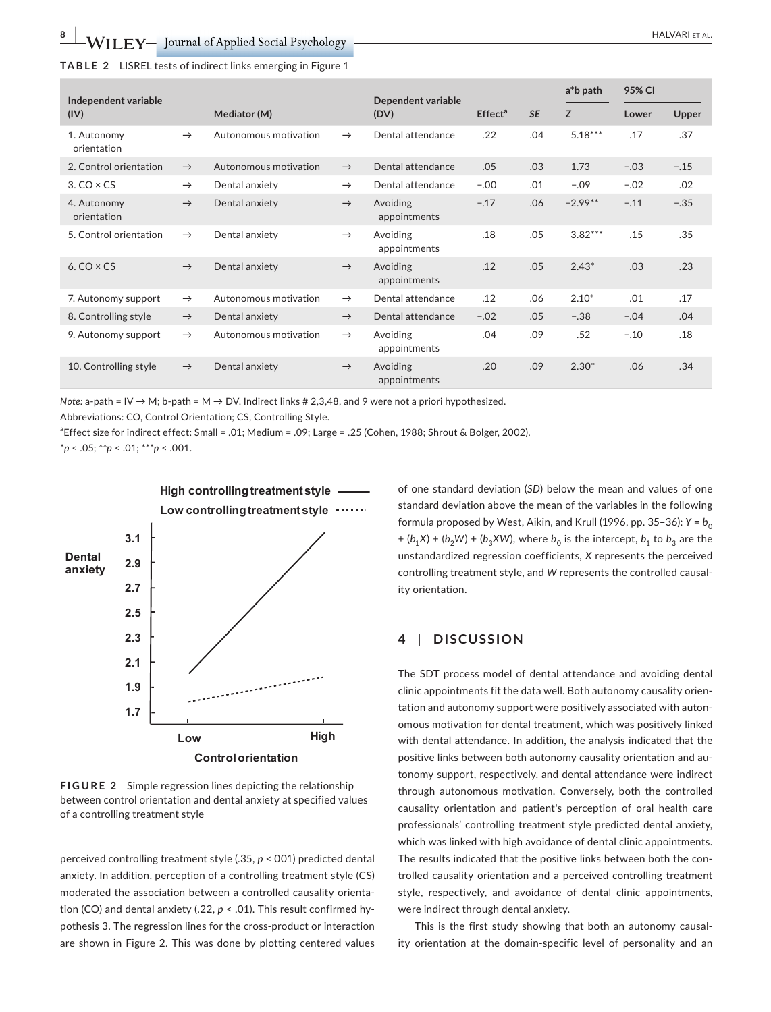#### **TABLE 2** LISREL tests of indirect links emerging in Figure 1

| Independent variable       |               |                       |               | <b>Dependent variable</b> |                     |           | a*b path  | 95% CI |        |
|----------------------------|---------------|-----------------------|---------------|---------------------------|---------------------|-----------|-----------|--------|--------|
| (IV)                       |               | Mediator (M)          |               | (DV)                      | Effect <sup>a</sup> | <b>SE</b> | Z         | Lower  | Upper  |
| 1. Autonomy<br>orientation | $\rightarrow$ | Autonomous motivation | $\rightarrow$ | Dental attendance         | .22                 | .04       | $5.18***$ | .17    | .37    |
| 2. Control orientation     | $\rightarrow$ | Autonomous motivation | $\rightarrow$ | Dental attendance         | .05                 | .03       | 1.73      | $-.03$ | $-.15$ |
| $3. CO \times CS$          | $\rightarrow$ | Dental anxiety        | $\rightarrow$ | Dental attendance         | $-.00$              | .01       | $-.09$    | $-.02$ | .02    |
| 4. Autonomy<br>orientation | $\rightarrow$ | Dental anxiety        | $\rightarrow$ | Avoiding<br>appointments  | $-.17$              | .06       | $-2.99**$ | $-.11$ | $-.35$ |
| 5. Control orientation     | $\rightarrow$ | Dental anxiety        | $\rightarrow$ | Avoiding<br>appointments  | .18                 | .05       | $3.82***$ | .15    | .35    |
| $6. CO \times CS$          | $\rightarrow$ | Dental anxiety        | $\rightarrow$ | Avoiding<br>appointments  | .12                 | .05       | $2.43*$   | .03    | .23    |
| 7. Autonomy support        | $\rightarrow$ | Autonomous motivation | $\rightarrow$ | Dental attendance         | .12                 | .06       | $2.10*$   | .01    | .17    |
| 8. Controlling style       | $\rightarrow$ | Dental anxiety        | $\rightarrow$ | Dental attendance         | $-.02$              | .05       | $-.38$    | $-.04$ | .04    |
| 9. Autonomy support        | $\rightarrow$ | Autonomous motivation | $\rightarrow$ | Avoiding<br>appointments  | .04                 | .09       | .52       | $-.10$ | .18    |
| 10. Controlling style      | $\rightarrow$ | Dental anxiety        | $\rightarrow$ | Avoiding<br>appointments  | .20                 | .09       | $2.30*$   | .06    | .34    |

*Note:* a-path = IV → M; b-path = M → DV. Indirect links # 2,3,48, and 9 were not a priori hypothesized.

Abbreviations: CO, Control Orientation; CS, Controlling Style.

<sup>a</sup>Effect size for indirect effect: Small = .01; Medium = .09; Large = .25 (Cohen, 1988; Shrout & Bolger, 2002).

\**p* < .05; \*\**p* < .01; \*\*\**p* < .001.



**FIGURE 2** Simple regression lines depicting the relationship between control orientation and dental anxiety at specified values of a controlling treatment style

perceived controlling treatment style (.35, *p* < 001) predicted dental anxiety. In addition, perception of a controlling treatment style (CS) moderated the association between a controlled causality orientation (CO) and dental anxiety (.22, *p* < .01). This result confirmed hypothesis 3. The regression lines for the cross-product or interaction are shown in Figure 2. This was done by plotting centered values

of one standard deviation (*SD*) below the mean and values of one standard deviation above the mean of the variables in the following formula proposed by West, Aikin, and Krull (1996, pp. 35–36):  $Y = b_0$ +  $(b_1X)$  +  $(b_2W)$  +  $(b_3XW)$ , where  $b_0$  is the intercept,  $b_1$  to  $b_3$  are the unstandardized regression coefficients, *X* represents the perceived controlling treatment style, and *W* represents the controlled causality orientation.

## **4** | **DISCUSSION**

The SDT process model of dental attendance and avoiding dental clinic appointments fit the data well. Both autonomy causality orientation and autonomy support were positively associated with autonomous motivation for dental treatment, which was positively linked with dental attendance. In addition, the analysis indicated that the positive links between both autonomy causality orientation and autonomy support, respectively, and dental attendance were indirect through autonomous motivation. Conversely, both the controlled causality orientation and patient's perception of oral health care professionals' controlling treatment style predicted dental anxiety, which was linked with high avoidance of dental clinic appointments. The results indicated that the positive links between both the controlled causality orientation and a perceived controlling treatment style, respectively, and avoidance of dental clinic appointments, were indirect through dental anxiety.

This is the first study showing that both an autonomy causality orientation at the domain-specific level of personality and an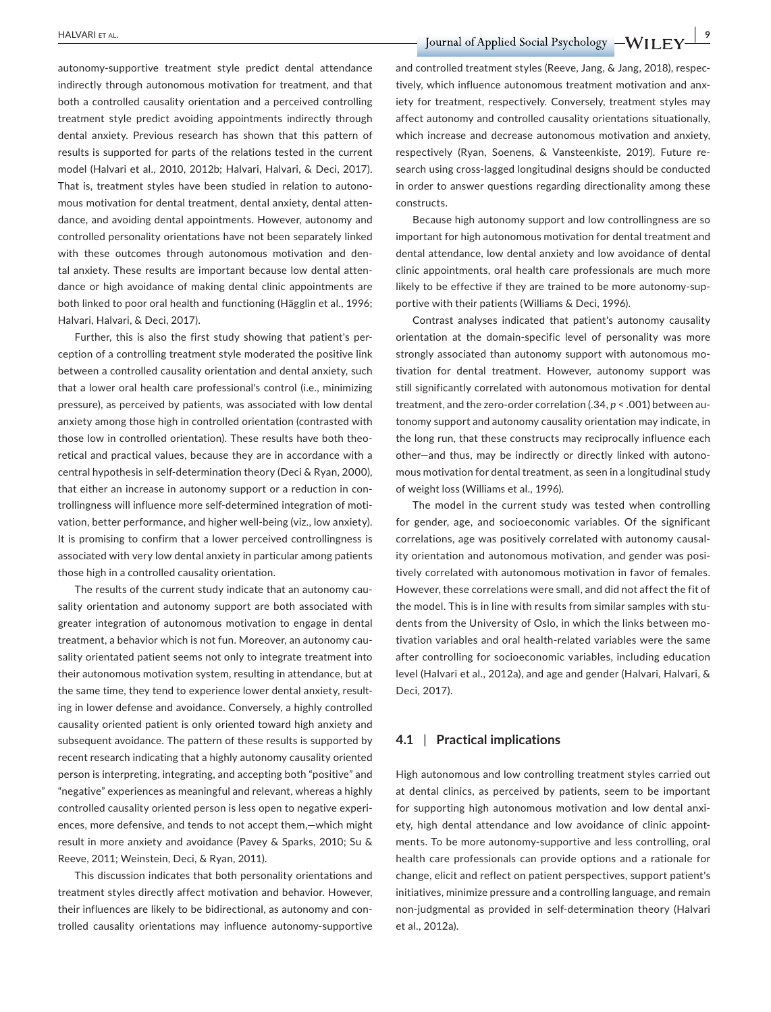$\frac{HALVARI ET AL.}{VIR}$  $\frac{HALVARI ET AL.}{VIR}$ 

autonomy-supportive treatment style predict dental attendance indirectly through autonomous motivation for treatment, and that both a controlled causality orientation and a perceived controlling treatment style predict avoiding appointments indirectly through dental anxiety. Previous research has shown that this pattern of results is supported for parts of the relations tested in the current model (Halvari et al., 2010, 2012b; Halvari, Halvari, & Deci, 2017). That is, treatment styles have been studied in relation to autonomous motivation for dental treatment, dental anxiety, dental attendance, and avoiding dental appointments. However, autonomy and controlled personality orientations have not been separately linked with these outcomes through autonomous motivation and dental anxiety. These results are important because low dental attendance or high avoidance of making dental clinic appointments are both linked to poor oral health and functioning (Hägglin et al., 1996; Halvari, Halvari, & Deci, 2017).

Further, this is also the first study showing that patient's perception of a controlling treatment style moderated the positive link between a controlled causality orientation and dental anxiety, such that a lower oral health care professional's control (i.e., minimizing pressure), as perceived by patients, was associated with low dental anxiety among those high in controlled orientation (contrasted with those low in controlled orientation). These results have both theoretical and practical values, because they are in accordance with a central hypothesis in self-determination theory (Deci & Ryan, 2000), that either an increase in autonomy support or a reduction in controllingness will influence more self-determined integration of motivation, better performance, and higher well-being (viz., low anxiety). It is promising to confirm that a lower perceived controllingness is associated with very low dental anxiety in particular among patients those high in a controlled causality orientation.

The results of the current study indicate that an autonomy causality orientation and autonomy support are both associated with greater integration of autonomous motivation to engage in dental treatment, a behavior which is not fun. Moreover, an autonomy causality orientated patient seems not only to integrate treatment into their autonomous motivation system, resulting in attendance, but at the same time, they tend to experience lower dental anxiety, resulting in lower defense and avoidance. Conversely, a highly controlled causality oriented patient is only oriented toward high anxiety and subsequent avoidance. The pattern of these results is supported by recent research indicating that a highly autonomy causality oriented person is interpreting, integrating, and accepting both "positive" and "negative" experiences as meaningful and relevant, whereas a highly controlled causality oriented person is less open to negative experiences, more defensive, and tends to not accept them,—which might result in more anxiety and avoidance (Pavey & Sparks, 2010; Su & Reeve, 2011; Weinstein, Deci, & Ryan, 2011).

This discussion indicates that both personality orientations and treatment styles directly affect motivation and behavior. However, their influences are likely to be bidirectional, as autonomy and controlled causality orientations may influence autonomy-supportive

and controlled treatment styles (Reeve, Jang, & Jang, 2018), respectively, which influence autonomous treatment motivation and anxiety for treatment, respectively. Conversely, treatment styles may affect autonomy and controlled causality orientations situationally, which increase and decrease autonomous motivation and anxiety, respectively (Ryan, Soenens, & Vansteenkiste, 2019). Future research using cross-lagged longitudinal designs should be conducted in order to answer questions regarding directionality among these constructs.

Because high autonomy support and low controllingness are so important for high autonomous motivation for dental treatment and dental attendance, low dental anxiety and low avoidance of dental clinic appointments, oral health care professionals are much more likely to be effective if they are trained to be more autonomy-supportive with their patients (Williams & Deci, 1996).

Contrast analyses indicated that patient's autonomy causality orientation at the domain-specific level of personality was more strongly associated than autonomy support with autonomous motivation for dental treatment. However, autonomy support was still significantly correlated with autonomous motivation for dental treatment, and the zero-order correlation (.34, *p* < .001) between autonomy support and autonomy causality orientation may indicate, in the long run, that these constructs may reciprocally influence each other—and thus, may be indirectly or directly linked with autonomous motivation for dental treatment, as seen in a longitudinal study of weight loss (Williams et al., 1996).

The model in the current study was tested when controlling for gender, age, and socioeconomic variables. Of the significant correlations, age was positively correlated with autonomy causality orientation and autonomous motivation, and gender was positively correlated with autonomous motivation in favor of females. However, these correlations were small, and did not affect the fit of the model. This is in line with results from similar samples with students from the University of Oslo, in which the links between motivation variables and oral health-related variables were the same after controlling for socioeconomic variables, including education level (Halvari et al., 2012a), and age and gender (Halvari, Halvari, & Deci, 2017).

#### **4.1** | **Practical implications**

High autonomous and low controlling treatment styles carried out at dental clinics, as perceived by patients, seem to be important for supporting high autonomous motivation and low dental anxiety, high dental attendance and low avoidance of clinic appointments. To be more autonomy-supportive and less controlling, oral health care professionals can provide options and a rationale for change, elicit and reflect on patient perspectives, support patient's initiatives, minimize pressure and a controlling language, and remain non-judgmental as provided in self-determination theory (Halvari et al., 2012a).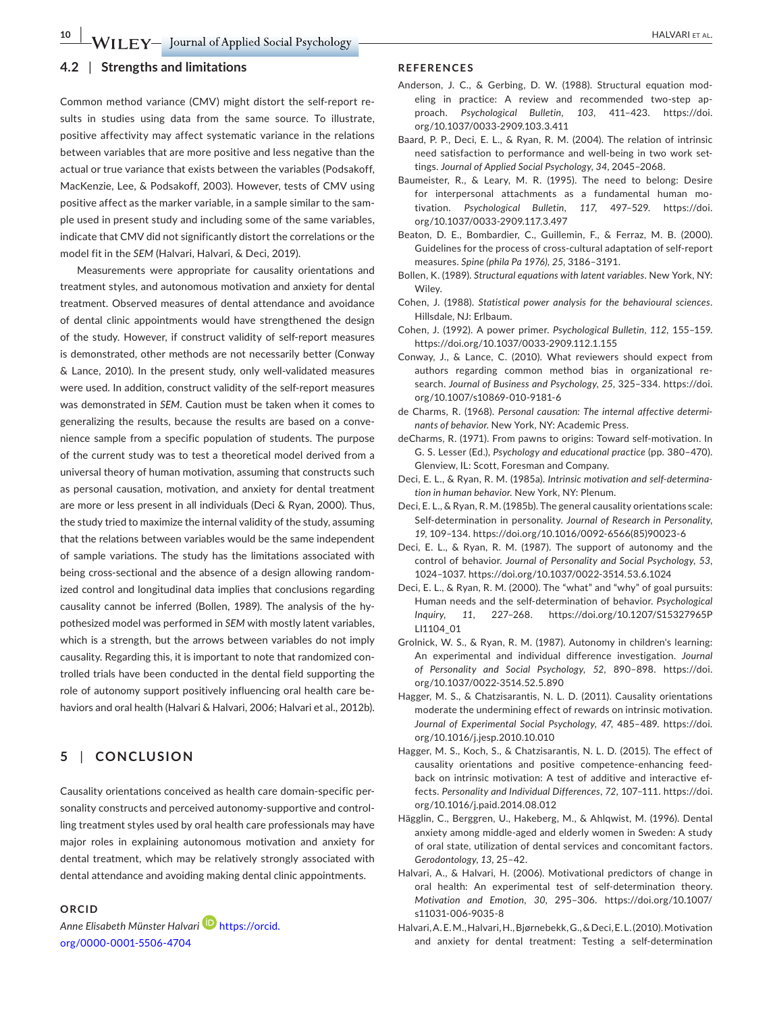## **10 ION IDEY 10 ION OF Applied Social Psychology**

## **4.2** | **Strengths and limitations**

Common method variance (CMV) might distort the self-report results in studies using data from the same source. To illustrate, positive affectivity may affect systematic variance in the relations between variables that are more positive and less negative than the actual or true variance that exists between the variables (Podsakoff, MacKenzie, Lee, & Podsakoff, 2003). However, tests of CMV using positive affect as the marker variable, in a sample similar to the sample used in present study and including some of the same variables, indicate that CMV did not significantly distort the correlations or the model fit in the *SEM* (Halvari, Halvari, & Deci, 2019).

Measurements were appropriate for causality orientations and treatment styles, and autonomous motivation and anxiety for dental treatment. Observed measures of dental attendance and avoidance of dental clinic appointments would have strengthened the design of the study. However, if construct validity of self-report measures is demonstrated, other methods are not necessarily better (Conway & Lance, 2010). In the present study, only well-validated measures were used. In addition, construct validity of the self-report measures was demonstrated in *SEM*. Caution must be taken when it comes to generalizing the results, because the results are based on a convenience sample from a specific population of students. The purpose of the current study was to test a theoretical model derived from a universal theory of human motivation, assuming that constructs such as personal causation, motivation, and anxiety for dental treatment are more or less present in all individuals (Deci & Ryan, 2000). Thus, the study tried to maximize the internal validity of the study, assuming that the relations between variables would be the same independent of sample variations. The study has the limitations associated with being cross-sectional and the absence of a design allowing randomized control and longitudinal data implies that conclusions regarding causality cannot be inferred (Bollen, 1989). The analysis of the hypothesized model was performed in *SEM* with mostly latent variables, which is a strength, but the arrows between variables do not imply causality. Regarding this, it is important to note that randomized controlled trials have been conducted in the dental field supporting the role of autonomy support positively influencing oral health care behaviors and oral health (Halvari & Halvari, 2006; Halvari et al., 2012b).

## **5** | **CONCLUSION**

Causality orientations conceived as health care domain-specific personality constructs and perceived autonomy-supportive and controlling treatment styles used by oral health care professionals may have major roles in explaining autonomous motivation and anxiety for dental treatment, which may be relatively strongly associated with dental attendance and avoiding making dental clinic appointments.

#### **ORCID**

*Anne Elisabeth Münster Halvar[i](https://orcid.org/0000-0001-5506-4704)* [https://orcid.](https://orcid.org/0000-0001-5506-4704) [org/0000-0001-5506-4704](https://orcid.org/0000-0001-5506-4704)

#### **REFERENCES**

- Anderson, J. C., & Gerbing, D. W. (1988). Structural equation modeling in practice: A review and recommended two-step approach. *Psychological Bulletin*, *103*, 411–423. [https://doi.](https://doi.org/10.1037/0033-2909.103.3.411) [org/10.1037/0033-2909.103.3.411](https://doi.org/10.1037/0033-2909.103.3.411)
- Baard, P. P., Deci, E. L., & Ryan, R. M. (2004). The relation of intrinsic need satisfaction to performance and well-being in two work settings. *Journal of Applied Social Psychology*, *34*, 2045–2068.
- Baumeister, R., & Leary, M. R. (1995). The need to belong: Desire for interpersonal attachments as a fundamental human motivation. *Psychological Bulletin*, *117*, 497–529. [https://doi.](https://doi.org/10.1037/0033-2909.117.3.497) [org/10.1037/0033-2909.117.3.497](https://doi.org/10.1037/0033-2909.117.3.497)
- Beaton, D. E., Bombardier, C., Guillemin, F., & Ferraz, M. B. (2000). Guidelines for the process of cross-cultural adaptation of self-report measures. *Spine (phila Pa 1976)*, *25*, 3186–3191.
- Bollen, K. (1989). *Structural equations with latent variables*. New York, NY: Wiley.
- Cohen, J. (1988). *Statistical power analysis for the behavioural sciences*. Hillsdale, NJ: Erlbaum.
- Cohen, J. (1992). A power primer. *Psychological Bulletin*, *112*, 155–159. <https://doi.org/10.1037/0033-2909.112.1.155>
- Conway, J., & Lance, C. (2010). What reviewers should expect from authors regarding common method bias in organizational research. *Journal of Business and Psychology*, *25*, 325–334. [https://doi.](https://doi.org/10.1007/s10869-010-9181-6) [org/10.1007/s10869-010-9181-6](https://doi.org/10.1007/s10869-010-9181-6)
- de Charms, R. (1968). *Personal causation: The internal affective determinants of behavior*. New York, NY: Academic Press.
- deCharms, R. (1971). From pawns to origins: Toward self-motivation. In G. S. Lesser (Ed.), *Psychology and educational practice* (pp. 380–470). Glenview, IL: Scott, Foresman and Company.
- Deci, E. L., & Ryan, R. M. (1985a). *Intrinsic motivation and self-determination in human behavior*. New York, NY: Plenum.
- Deci, E. L., & Ryan, R. M. (1985b). The general causality orientations scale: Self-determination in personality. *Journal of Research in Personality*, *19*, 109–134. [https://doi.org/10.1016/0092-6566\(85\)90023-6](https://doi.org/10.1016/0092-6566(85)90023-6)
- Deci, E. L., & Ryan, R. M. (1987). The support of autonomy and the control of behavior. *Journal of Personality and Social Psychology*, *53*, 1024–1037. <https://doi.org/10.1037/0022-3514.53.6.1024>
- Deci, E. L., & Ryan, R. M. (2000). The "what" and "why" of goal pursuits: Human needs and the self-determination of behavior. *Psychological Inquiry*, *11*, 227–268. [https://doi.org/10.1207/S15327965P](https://doi.org/10.1207/S15327965PLI1104_01) [LI1104\\_01](https://doi.org/10.1207/S15327965PLI1104_01)
- Grolnick, W. S., & Ryan, R. M. (1987). Autonomy in children's learning: An experimental and individual difference investigation. *Journal of Personality and Social Psychology*, *52*, 890–898. [https://doi.](https://doi.org/10.1037/0022-3514.52.5.890) [org/10.1037/0022-3514.52.5.890](https://doi.org/10.1037/0022-3514.52.5.890)
- Hagger, M. S., & Chatzisarantis, N. L. D. (2011). Causality orientations moderate the undermining effect of rewards on intrinsic motivation. *Journal of Experimental Social Psychology*, *47*, 485–489. [https://doi.](https://doi.org/10.1016/j.jesp.2010.10.010) [org/10.1016/j.jesp.2010.10.010](https://doi.org/10.1016/j.jesp.2010.10.010)
- Hagger, M. S., Koch, S., & Chatzisarantis, N. L. D. (2015). The effect of causality orientations and positive competence-enhancing feedback on intrinsic motivation: A test of additive and interactive effects. *Personality and Individual Differences*, *72*, 107–111. [https://doi.](https://doi.org/10.1016/j.paid.2014.08.012) [org/10.1016/j.paid.2014.08.012](https://doi.org/10.1016/j.paid.2014.08.012)
- Hägglin, C., Berggren, U., Hakeberg, M., & Ahlqwist, M. (1996). Dental anxiety among middle-aged and elderly women in Sweden: A study of oral state, utilization of dental services and concomitant factors. *Gerodontology*, *13*, 25–42.
- Halvari, A., & Halvari, H. (2006). Motivational predictors of change in oral health: An experimental test of self-determination theory. *Motivation and Emotion*, *30*, 295–306. [https://doi.org/10.1007/](https://doi.org/10.1007/s11031-006-9035-8) [s11031-006-9035-8](https://doi.org/10.1007/s11031-006-9035-8)
- Halvari, A. E. M., Halvari, H., Bjørnebekk, G., & Deci, E. L. (2010). Motivation and anxiety for dental treatment: Testing a self-determination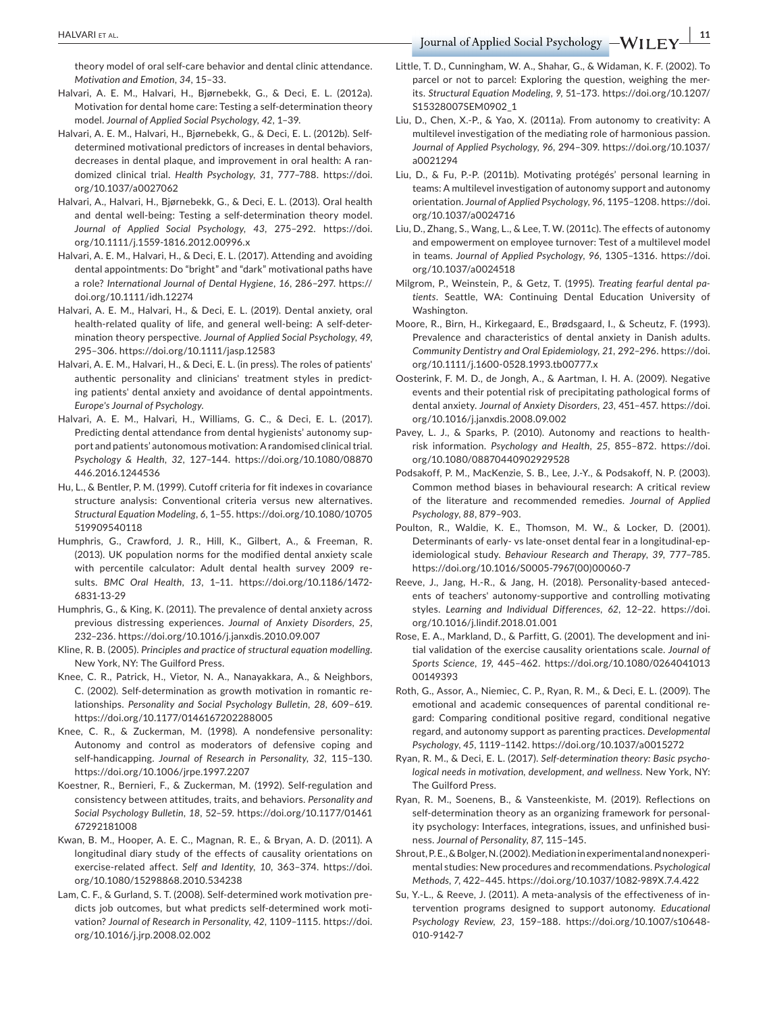**<u>HALVARI ET AL.</u> 11**<br> **11** Journal of Applied Social Psychology  $-WII$   $EY$   $\frac{11}{2}$ 

theory model of oral self-care behavior and dental clinic attendance. *Motivation and Emotion*, *34*, 15–33.

- Halvari, A. E. M., Halvari, H., Bjørnebekk, G., & Deci, E. L. (2012a). Motivation for dental home care: Testing a self-determination theory model. *Journal of Applied Social Psychology*, *42*, 1–39.
- Halvari, A. E. M., Halvari, H., Bjørnebekk, G., & Deci, E. L. (2012b). Selfdetermined motivational predictors of increases in dental behaviors, decreases in dental plaque, and improvement in oral health: A randomized clinical trial. *Health Psychology*, *31*, 777–788. [https://doi.](https://doi.org/10.1037/a0027062) [org/10.1037/a0027062](https://doi.org/10.1037/a0027062)
- Halvari, A., Halvari, H., Bjørnebekk, G., & Deci, E. L. (2013). Oral health and dental well-being: Testing a self-determination theory model. *Journal of Applied Social Psychology*, *43*, 275–292. [https://doi.](https://doi.org/10.1111/j.1559-1816.2012.00996.x) [org/10.1111/j.1559-1816.2012.00996.x](https://doi.org/10.1111/j.1559-1816.2012.00996.x)
- Halvari, A. E. M., Halvari, H., & Deci, E. L. (2017). Attending and avoiding dental appointments: Do "bright" and "dark" motivational paths have a role? *International Journal of Dental Hygiene*, *16*, 286–297. [https://](https://doi.org/10.1111/idh.12274) [doi.org/10.1111/idh.12274](https://doi.org/10.1111/idh.12274)
- Halvari, A. E. M., Halvari, H., & Deci, E. L. (2019). Dental anxiety, oral health-related quality of life, and general well-being: A self-determination theory perspective. *Journal of Applied Social Psychology*, *49*, 295–306.<https://doi.org/10.1111/jasp.12583>
- Halvari, A. E. M., Halvari, H., & Deci, E. L. (in press). The roles of patients' authentic personality and clinicians' treatment styles in predicting patients' dental anxiety and avoidance of dental appointments. *Europe's Journal of Psychology*.
- Halvari, A. E. M., Halvari, H., Williams, G. C., & Deci, E. L. (2017). Predicting dental attendance from dental hygienists' autonomy support and patients' autonomous motivation: A randomised clinical trial. *Psychology & Health*, *32*, 127–144. [https://doi.org/10.1080/08870](https://doi.org/10.1080/08870446.2016.1244536) [446.2016.1244536](https://doi.org/10.1080/08870446.2016.1244536)
- Hu, L., & Bentler, P. M. (1999). Cutoff criteria for fit indexes in covariance structure analysis: Conventional criteria versus new alternatives. *Structural Equation Modeling*, *6*, 1–55. [https://doi.org/10.1080/10705](https://doi.org/10.1080/10705519909540118) [519909540118](https://doi.org/10.1080/10705519909540118)
- Humphris, G., Crawford, J. R., Hill, K., Gilbert, A., & Freeman, R. (2013). UK population norms for the modified dental anxiety scale with percentile calculator: Adult dental health survey 2009 results. *BMC Oral Health*, *13*, 1–11. [https://doi.org/10.1186/1472-](https://doi.org/10.1186/1472-6831-13-29) [6831-13-29](https://doi.org/10.1186/1472-6831-13-29)
- Humphris, G., & King, K. (2011). The prevalence of dental anxiety across previous distressing experiences. *Journal of Anxiety Disorders*, *25*, 232–236.<https://doi.org/10.1016/j.janxdis.2010.09.007>
- Kline, R. B. (2005). *Principles and practice of structural equation modelling*. New York, NY: The Guilford Press.
- Knee, C. R., Patrick, H., Vietor, N. A., Nanayakkara, A., & Neighbors, C. (2002). Self-determination as growth motivation in romantic relationships. *Personality and Social Psychology Bulletin*, *28*, 609–619. <https://doi.org/10.1177/0146167202288005>
- Knee, C. R., & Zuckerman, M. (1998). A nondefensive personality: Autonomy and control as moderators of defensive coping and self-handicapping. *Journal of Research in Personality*, *32*, 115–130. <https://doi.org/10.1006/jrpe.1997.2207>
- Koestner, R., Bernieri, F., & Zuckerman, M. (1992). Self-regulation and consistency between attitudes, traits, and behaviors. *Personality and Social Psychology Bulletin*, *18*, 52–59. [https://doi.org/10.1177/01461](https://doi.org/10.1177/0146167292181008) [67292181008](https://doi.org/10.1177/0146167292181008)
- Kwan, B. M., Hooper, A. E. C., Magnan, R. E., & Bryan, A. D. (2011). A longitudinal diary study of the effects of causality orientations on exercise-related affect. *Self and Identity*, *10*, 363–374. [https://doi.](https://doi.org/10.1080/15298868.2010.534238) [org/10.1080/15298868.2010.534238](https://doi.org/10.1080/15298868.2010.534238)
- Lam, C. F., & Gurland, S. T. (2008). Self-determined work motivation predicts job outcomes, but what predicts self-determined work motivation? *Journal of Research in Personality*, *42*, 1109–1115. [https://doi.](https://doi.org/10.1016/j.jrp.2008.02.002) [org/10.1016/j.jrp.2008.02.002](https://doi.org/10.1016/j.jrp.2008.02.002)
- Little, T. D., Cunningham, W. A., Shahar, G., & Widaman, K. F. (2002). To parcel or not to parcel: Exploring the question, weighing the merits. *Structural Equation Modeling*, *9*, 51–173. [https://doi.org/10.1207/](https://doi.org/10.1207/S15328007SEM0902_1) [S15328007SEM0902\\_1](https://doi.org/10.1207/S15328007SEM0902_1)
- Liu, D., Chen, X.-P., & Yao, X. (2011a). From autonomy to creativity: A multilevel investigation of the mediating role of harmonious passion. *Journal of Applied Psychology*, *96*, 294–309. [https://doi.org/10.1037/](https://doi.org/10.1037/a0021294) [a0021294](https://doi.org/10.1037/a0021294)
- Liu, D., & Fu, P.-P. (2011b). Motivating protégés' personal learning in teams: A multilevel investigation of autonomy support and autonomy orientation. *Journal of Applied Psychology*, *96*, 1195–1208. [https://doi.](https://doi.org/10.1037/a0024716) [org/10.1037/a0024716](https://doi.org/10.1037/a0024716)
- Liu, D., Zhang, S., Wang, L., & Lee, T. W. (2011c). The effects of autonomy and empowerment on employee turnover: Test of a multilevel model in teams. *Journal of Applied Psychology*, *96*, 1305–1316. [https://doi.](https://doi.org/10.1037/a0024518) [org/10.1037/a0024518](https://doi.org/10.1037/a0024518)
- Milgrom, P., Weinstein, P., & Getz, T. (1995). *Treating fearful dental patients*. Seattle, WA: Continuing Dental Education University of Washington.
- Moore, R., Birn, H., Kirkegaard, E., Brødsgaard, I., & Scheutz, F. (1993). Prevalence and characteristics of dental anxiety in Danish adults. *Community Dentistry and Oral Epidemiology*, *21*, 292–296. [https://doi.](https://doi.org/10.1111/j.1600-0528.1993.tb00777.x) [org/10.1111/j.1600-0528.1993.tb00777.x](https://doi.org/10.1111/j.1600-0528.1993.tb00777.x)
- Oosterink, F. M. D., de Jongh, A., & Aartman, I. H. A. (2009). Negative events and their potential risk of precipitating pathological forms of dental anxiety. *Journal of Anxiety Disorders*, *23*, 451–457. [https://doi.](https://doi.org/10.1016/j.janxdis.2008.09.002) [org/10.1016/j.janxdis.2008.09.002](https://doi.org/10.1016/j.janxdis.2008.09.002)
- Pavey, L. J., & Sparks, P. (2010). Autonomy and reactions to healthrisk information. *Psychology and Health*, *25*, 855–872. [https://doi.](https://doi.org/10.1080/08870440902929528) [org/10.1080/08870440902929528](https://doi.org/10.1080/08870440902929528)
- Podsakoff, P. M., MacKenzie, S. B., Lee, J.-Y., & Podsakoff, N. P. (2003). Common method biases in behavioural research: A critical review of the literature and recommended remedies. *Journal of Applied Psychology*, *88*, 879–903.
- Poulton, R., Waldie, K. E., Thomson, M. W., & Locker, D. (2001). Determinants of early- vs late-onset dental fear in a longitudinal-epidemiological study. *Behaviour Research and Therapy*, *39*, 777–785. [https://doi.org/10.1016/S0005-7967\(00\)00060-7](https://doi.org/10.1016/S0005-7967(00)00060-7)
- Reeve, J., Jang, H.-R., & Jang, H. (2018). Personality-based antecedents of teachers' autonomy-supportive and controlling motivating styles. *Learning and Individual Differences*, *62*, 12–22. [https://doi.](https://doi.org/10.1016/j.lindif.2018.01.001) [org/10.1016/j.lindif.2018.01.001](https://doi.org/10.1016/j.lindif.2018.01.001)
- Rose, E. A., Markland, D., & Parfitt, G. (2001). The development and initial validation of the exercise causality orientations scale. *Journal of Sports Science*, *19*, 445–462. [https://doi.org/10.1080/0264041013](https://doi.org/10.1080/026404101300149393) [00149393](https://doi.org/10.1080/026404101300149393)
- Roth, G., Assor, A., Niemiec, C. P., Ryan, R. M., & Deci, E. L. (2009). The emotional and academic consequences of parental conditional regard: Comparing conditional positive regard, conditional negative regard, and autonomy support as parenting practices. *Developmental Psychology*, *45*, 1119–1142.<https://doi.org/10.1037/a0015272>
- Ryan, R. M., & Deci, E. L. (2017). *Self-determination theory: Basic psychological needs in motivation, development, and wellness*. New York, NY: The Guilford Press.
- Ryan, R. M., Soenens, B., & Vansteenkiste, M. (2019). Reflections on self-determination theory as an organizing framework for personality psychology: Interfaces, integrations, issues, and unfinished business. *Journal of Personality*, *87*, 115–145.
- Shrout, P. E., & Bolger, N. (2002). Mediation in experimental and nonexperimental studies: New procedures and recommendations. *Psychological Methods*, *7*, 422–445.<https://doi.org/10.1037/1082-989X.7.4.422>
- Su, Y.-L., & Reeve, J. (2011). A meta-analysis of the effectiveness of intervention programs designed to support autonomy. *Educational Psychology Review*, *23*, 159–188. [https://doi.org/10.1007/s10648-](https://doi.org/10.1007/s10648-010-9142-7) [010-9142-7](https://doi.org/10.1007/s10648-010-9142-7)